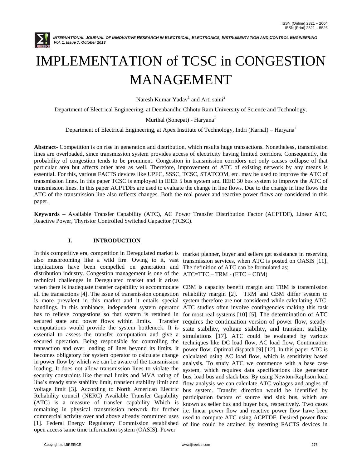

# IMPLEMENTATION of TCSC in CONGESTION MANAGEMENT

Naresh Kumar Yadav $^1$  and Arti saini $^2$ 

Department of Electrical Engineering, at Deenbandhu Chhotu Ram University of Science and Technology,

Murthal (Sonepat) - Haryana<sup>1</sup>

Department of Electrical Engineering, at Apex Institute of Technology, Indri (Karnal) – Haryana<sup>2</sup>

**Abstract**- Competition is on rise in generation and distribution, which results huge transactions. Nonetheless, transmission lines are overloaded, since transmission system provides access of electricity having limited corridors. Consequently, the probability of congestion tends to be prominent. Congestion in transmission corridors not only causes collapse of that particular area but affects other area as well. Therefore, improvement of ATC of existing network by any means is essential. For this, various FACTS devices like UPFC, SSSC, TCSC, STATCOM, etc. may be used to improve the ATC of transmission lines. In this paper TCSC is employed in IEEE 5 bus system and IEEE 30 bus system to improve the ATC of transmission lines. In this paper ACPTDFs are used to evaluate the change in line flows. Due to the change in line flows the ATC of the transmission line also reflects changes. Both the real power and reactive power flows are considered in this paper.

**Keywords** – Available Transfer Capability (ATC), AC Power Transfer Distribution Factor (ACPTDF), Linear ATC, Reactive Power, Thyristor Controlled Switched Capacitor (TCSC).

# **I. INTRODUCTION**

In this competitive era, competition in Deregulated market is also mushrooming like a wild fire. Owing to it, vast implications have been compelled on generation and distribution industry. Congestion management is one of the technical challenges in Deregulated market and it arises when there is inadequate transfer capability to accommodate all the transactions [4]. The issue of transmission congestion is more prevalent in this market and it entails special handlings. In this ambiance, independent system operator has to relieve congestions so that system is retained in secured state and power flows within limits. Transfer computations would provide the system bottleneck. It is essential to assess the transfer computation and give a secured operation. Being responsible for controlling the transaction and over loading of lines beyond its limits, it becomes obligatory for system operator to calculate change in power flow by which we can be aware of the transmission loading. It does not allow transmission lines to violate the security constraints like thermal limits and MVA rating of line"s steady state stability limit, transient stability limit and voltage limit [3]. According to North American Electric Reliability council (NERC) Available Transfer Capability (ATC) is a measure of transfer capability Which is remaining in physical transmission network for further commercial activity over and above already committed uses [1]. Federal Energy Regulatory Commission established open access same time information system (OASIS). Power

market planner, buyer and sellers get assistance in reserving transmission services, when ATC is posted on OASIS [11]. The definition of ATC can be formulated as; ATC=TTC – TRM - (ETC + CBM)

CBM is capacity benefit margin and TRM is transmission reliability margin [2]. TRM and CBM differ system to system therefore are not considered while calculating ATC. ATC studies often involve contingencies making this task for most real systems [10] [5]. The determination of ATC requires the continuation version of power flow, steadystate stability, voltage stability, and transient stability simulations [17]. ATC could be evaluated by various techniques like DC load flow, AC load flow, Continuation power flow, Optimal dispatch [9] [12]. In this paper ATC is calculated using AC load flow, which is sensitivity based analysis. To study ATC we commence with a base case system, which requires data specifications like generator bus, load bus and slack bus. By using Newton-Raphson load flow analysis we can calculate ATC voltages and angles of bus system. Transfer direction would be identified by participation factors of source and sink bus, which are known as seller bus and buyer bus, respectively. Two cases i.e. linear power flow and reactive power flow have been used to compute ATC using ACPTDF. Desired power flow of line could be attained by inserting FACTS devices in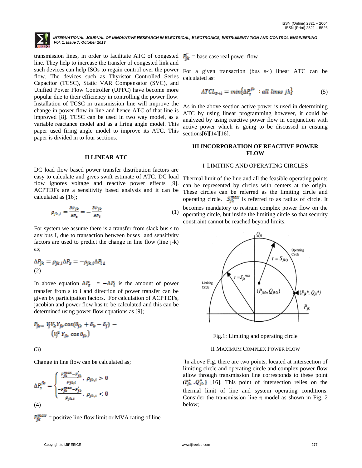

transmission lines, in order to facilitate ATC of congested  $P_{ik}^{\dagger}$  = base case real power flow line. They help to increase the transfer of congested link and such devices can help ISOs to regain control over the power flow. The devices such as Thyristor Controlled Series Capacitor (TCSC), Static VAR Compensator (SVC), and Unified Power Flow Controller (UPFC) have become more popular due to their efficiency in controlling the power flow. Installation of TCSC in transmission line will improve the change in power flow in line and hence ATC of that line is improved [8]. TCSC can be used in two way model, as a variable reactance model and as a firing angle model. This paper used firing angle model to improve its ATC. This paper is divided in to four sections.

#### **II LINEAR ATC**

DC load flow based power transfer distribution factors are easy to calculate and gives swift estimate of ATC. DC load flow ignores voltage and reactive power effects [9]. ACPTDFs are a sensitivity based analysis and it can be calculated as [16];

$$
\rho_{jk,i} = \frac{\partial P_{jk}}{\partial P_s} = -\frac{\partial P_{jk}}{\partial P_i} \tag{1}
$$

For system we assume there is a transfer from slack bus s to any bus I, due to transaction between buses and sensitivity factors are used to predict the change in line flow (line j-k) as;

$$
\Delta P_{jk} = \rho_{jk,i} \Delta P_S = -\rho_{jk,i} \Delta P_{i\,\Delta}
$$
  
(2)

In above equation  $\Delta P_{\rm g}$  =  $-\Delta P_{\rm i}$  is the amount of power transfer from s to i and direction of power transfer can be given by participation factors. For calculation of ACPTDFs, jacobian and power flow has to be calculated and this can be determined using power flow equations as [9];

$$
P_{jk} = V_j V_k Y_{jk} \cos(\theta_{jk} + \delta_k - \delta_j) - (V_j^2 Y_{jk} \cos \theta_{jk})
$$

(3)

Change in line flow can be calculated as;

$$
\Delta P_s^{jk} = \begin{cases} \frac{P_{jk}^{max} - P_{jk}^*}{\rho_{jk,i}}, & \rho_{jk,i} > 0\\ \frac{-P_{jk}^{max} - P_{jk}^*}{\rho_{jk,i}}, & \rho_{jk,i} < 0 \end{cases}
$$
  
(4)

 $P_{ik}^{max}$  = positive line flow limit or MVA rating of line

For a given transaction (bus s-i) linear ATC can be calculated as:

$$
ATCL_{S \to i} = min\{\Delta P_s^{jk} : all lines jk\}
$$
 (5)

As in the above section active power is used in determining ATC by using linear programming however, it could be analyzed by using reactive power flow in conjunction with active power which is going to be discussed in ensuing sections[6][14][16].

### **III INCORPORATION OF REACTIVE POWER FLOW**

# I LIMITING AND OPERATING CIRCLES

Thermal limit of the line and all the feasible operating points can be represented by circles with centers at the origin. These circles can be referred as the limiting circle and operating circle.  $S_{jk}^{max}$  is referred to as radius of circle. It becomes mandatory to restrain complex power flow on the operating circle, but inside the limiting circle so that security constraint cannot be reached beyond limits.



Fig.1: Limiting and operating circle

#### II MAXIMUM COMPLEX POWER FLOW

In above Fig. there are two points, located at intersection of limiting circle and operating circle and complex power flow allow through transmission line corresponds to these point  $(P_{ik}^{\bullet}, Q_{ik}^{\bullet})$  [16]. This point of intersection relies on the thermal limit of line and system operating conditions. Consider the transmission line  $\pi$  model as shown in Fig. 2 below;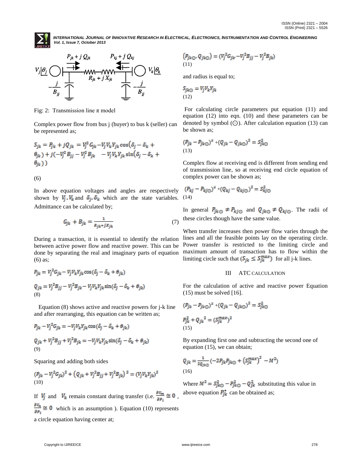



Fig: 2: Transmission line  $\pi$  model

Complex power flow from bus j (buyer) to bus k (seller) can be represented as;

$$
S_{jk} = P_{jk} + jQ_{jk} = V_j^2 G_{jk} - V_j V_k Y_{jk} \cos(\delta_j - \delta_k + \theta_{jk}) + j(-V_j^2 B_{jj} - V_j^2 B_{jk} - V_j V_k Y_{jk} \sin(\delta_j - \delta_k + \theta_{jk}))
$$

(6)

In above equation voltages and angles are respectively shown by  $V_j$ ,  $V_k$  and  $\delta_j$ ,  $\delta_k$  which are the state variables. Admittance can be calculated by;

$$
G_{jk} + B_{jk} = \frac{1}{R_{jk} + jX_{jk}}
$$
\n<sup>(7)</sup>

During a transaction, it is essential to identify the relation between active power flow and reactive power. This can be done by separating the real and imaginary parts of equation (6) as;

$$
P_{jk} = V_j^2 G_{jk} - V_j V_k Y_{jk} \cos(\delta_j - \delta_k + \theta_{jk})
$$
  
\n
$$
Q_{jk} = V_j^2 B_{jj} - V_j^2 B_{jk} - V_j V_k Y_{jk} \sin(\delta_j - \delta_k + \theta_{jk})
$$
  
\n(8)

 Equation (8) shows active and reactive powers for j-k line and after rearranging, this equation can be written as;

$$
P_{jk} - V_j^2 G_{jk} = -V_j V_k Y_{jk} \cos(\delta_j - \delta_k + \theta_{jk})
$$
  
\n
$$
Q_{jk} + V_j^2 B_{jj} + V_j^2 B_{jk} = -V_j V_k Y_{jk} \sin(\delta_j - \delta_k + \theta_{jk})
$$
  
\n(9)

Squaring and adding both sides

$$
(P_{jk} - V_j^2 G_{jk})^2 + (Q_{jk} + V_j^2 B_{jj} + V_j^2 B_{jk})^2 = (V_j V_k Y_{jk})^2
$$
  
(10)

If  $V_j$  and  $V_k$  remain constant during transfer (i.e.  $\frac{\partial V_m}{\partial P_i} \cong 0$ ,  $\frac{\partial v_n}{\partial P_i} \cong 0$  which is an assumption ). Equation (10) represents

a circle equation having center at;

$$
\left(P_{jk\odot},Q_{jk\odot}\right)=({V_j}^2G_{jk\prime}-V_j^2B_{jj}-V_j^2B_{jk})
$$
 (11)

and radius is equal to;

$$
S_{jk\odot} = V_j V_k Y_{jk}
$$
  
(12)

For calculating circle parameters put equation (11) and equation (12) into eqn. (10) and these parameters can be denoted by symbol  $(\bigcirc)$ . After calculation equation (13) can be shown as;

$$
(P_{jk} - P_{jk\odot})^2 + (Q_{jk} - Q_{jk\odot})^2 = S_{jk\odot}^2
$$
\n(13)

Complex flow at receiving end is different from sending end of transmission line, so at receiving end circle equation of complex power can be shown as;

$$
(P_{kj} - P_{kj\odot})^2 + (Q_{kj} - Q_{kj\odot})^2 = S_{kj\odot}^2
$$
\n(14)

In general  $P_{jk\odot} \neq P_{kj\odot}$  and  $Q_{jk\odot} \neq Q_{kj\odot}$ . The radii of these circles though have the same value.

When transfer increases then power flow varies through the lines and all the feasible points lay on the operating circle. Power transfer is restricted to the limiting circle and maximum amount of transaction has to flow within the limiting circle such that  $(S_{jk} \leq S_{jk}^{max})$  for all j-k lines.

## III ATC CALCULATION

For the calculation of active and reactive power Equation  $(15)$  must be solved  $[16]$ .

$$
(P_{jk} - P_{jk\odot})^2 + (Q_{jk} - Q_{jk\odot})^2 = S_{jk\odot}^2
$$
  

$$
P_{jk}^2 + Q_{jk}^2 = (S_{jk}^{max})^2
$$
  
(15)

By expanding first one and subtracting the second one of equation (15), we can obtain;

$$
Q_{jk} = \frac{1}{2Q_{jk\odot}} (-2P_{jk}P_{jk\odot} + (S_{jk}^{max})^2 - M^2)
$$
\n(16)

Where  $M^2 = S_{jk\odot}^2 - P_{jk\odot}^2 - Q_{jk}^2$  substituting this value in above equation  $P_{jk}^*$  can be obtained as;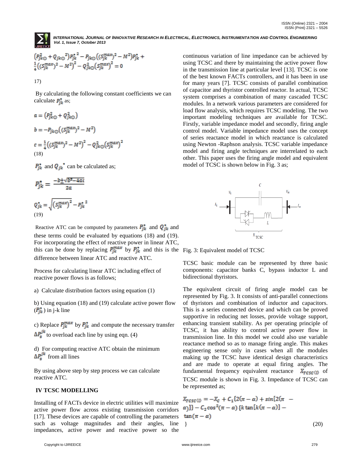

$$
\begin{array}{l} \left(P_{jk\bigodot}^2+Q_{jk\bigodot}^2\right)P_{jk}^{*~2}-P_{jk\bigodot}\big((S_{jk}^{max})^2-M^2\big)P_{jk}^{*}+\\ \frac{1}{4}\Big((S_{jk}^{max})^2-M^2\Big)^2-Q_{jk\bigodot}^2\big(S_{jk}^{max}\big)^2=0 \end{array}
$$

17)

By calculating the following constant coefficients we can calculate  $P_{ik}^{\bullet}$  as;

$$
a = (P_{jk\odot}^2 + Q_{jk\odot}^2)
$$
  
\n
$$
b = -P_{jk\odot}((S_{jk}^{max})^2 - M^2)
$$
  
\n
$$
c = \frac{1}{4}((S_{jk}^{max})^2 - M^2)^2 - Q_{jk\odot}^2(S_{jk}^{max})^2
$$
  
\n(18)

 $P_{ik}^*$  and  $Q_{ik}^*$  can be calculated as;

$$
P_{jk}^* = \frac{-b \pm \sqrt{b^2 - 4ac}}{2a}
$$

$$
Q_{jk}^* = \sqrt{(S_{jk}^{max})^2 - P_{jk}^*^2}
$$

$$
P_{jk}^*
$$

Reactive ATC can be computed by parameters  $P_{jk}^*$  and  $Q_{jk}^*$  and these terms could be evaluated by equations (18) and (19). For incorporating the effect of reactive power in linear ATC, this can be done by replacing  $P_{jk}^{max}$  by  $P_{jk}^{*}$  and this is the Fig. 3: Equivalent model of TCSC difference between linear ATC and reactive ATC.

Process for calculating linear ATC including effect of reactive power flows is as follows;

a) Calculate distribution factors using equation (1)

b) Using equation (18) and (19) calculate active power flow  $(P_{ik}^{\bullet})$  in j-k line

c) Replace  $P_{jk}^{max}$  by  $P_{jk}^{*}$  and compute the necessary transfer  $\Delta P_s^{jk}$  to overload each line by using eqn. (4)

d) For computing reactive ATC obtain the minimum  $\Delta P_{\rm s}^{jk}$  from all lines

By using above step by step process we can calculate reactive ATC.

# **IV TCSC MODELLING**

Installing of FACTs device in electric utilities will maximize active power flow across existing transmission corridors [17]. These devices are capable of controlling the parameters such as voltage magnitudes and their angles, line impedances, active power and reactive power so the

continuous variation of line impedance can be achieved by using TCSC and there by maintaining the active power flow in the transmission line at particular level [13]. TCSC is one of the best known FACTs controllers, and it has been in use for many years [7]. TCSC consists of parallel combination of capacitor and thyristor controlled reactor. In actual, TCSC system comprises a combination of many cascaded TCSC modules. In a network various parameters are considered for load flow analysis, which requires TCSC modeling. The two important modeling techniques are available for TCSC. Firstly, variable impedance model and secondly, firing angle control model. Variable impedance model uses the concept of series reactance model in which reactance is calculated using Newton -Raphson analysis. TCSC variable impedance model and firing angle techniques are interrelated to each other. This paper uses the firing angle model and equivalent model of TCSC is shown below in Fig. 3 as;



TCSC basic module can be represented by three basic components: capacitor banks C, bypass inductor L and bidirectional thyristors.

The equivalent circuit of firing angle model can be represented by Fig. 3. It consists of anti-parallel connections of thyristors and combination of inductor and capacitors. This is a series connected device and which can be proved supportive in reducing net losses, provide voltage support, enhancing transient stability. As per operating principle of TCSC, it has ability to control active power flow in transmission line. In this model we could also use variable reactance method so as to manage firing angle. This makes engineering sense only in cases when all the modules making up the TCSC have identical design characteristics and are made to operate at equal firing angles. The fundamental frequency equivalent reactance  $X_{TCSC}$  of TCSC module is shown in Fig. 3. Impedance of TCSC can be represented as;

$$
X_{TCSC(I)} = -X_C + C_1\{2(\pi - \alpha) + \sin[2(\pi - \alpha)]\} - C_2\cos^2(\pi - \alpha)\{k\tan[k(\pi - \alpha)] - \tan(\pi - \alpha)\}\tag{20}
$$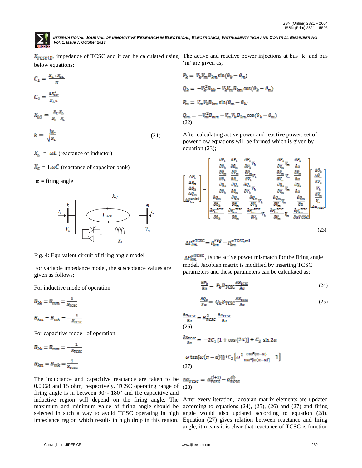

below equations;

$$
C_1 = \frac{x_c + x_{LC}}{\pi}
$$
  
\n
$$
C_2 = \frac{4x_{LC}^2}{x_L \pi}
$$
  
\n
$$
X_{LC} = \frac{x_C x_L}{x_C - x_L}
$$
  
\n
$$
k = \sqrt{\frac{x_C}{x}}
$$
 (21)

 $X_L = \omega L$  (reactance of inductor)

 $X_c = 1/\omega C$  (reactance of capacitor bank)

 $\alpha$  = firing angle



Fig. 4: Equivalent circuit of firing angle model

For variable impedance model, the susceptance values are given as follows;

For inductive mode of operation

$$
B_{kk} = B_{mm} = \frac{1}{x_{\text{TCSC}}}
$$

$$
B_{km} = B_{mk} = -\frac{1}{x_{\text{TCSC}}}
$$

For capacitive mode of operation

$$
B_{kk} = B_{mm} = -\frac{1}{x_{\text{TCSC}}}
$$

$$
B_{km} = B_{mk} = \frac{1}{x_{\text{TCSC}}}
$$

The inductance and capacitive reactance are taken to be 0.0068 and 15 ohm, respectively. TCSC operating range of firing angle is in between 90°- 180° and the capacitive and inductive region will depend on the firing angle. The maximum and minimum value of firing angle should be selected in such a way to avoid TCSC operating in high impedance region which results in high drop in this region.

, impedance of TCSC and it can be calculated using The active and reactive power injections at bus "k" and bus 'm' are given as;

$$
P_k = V_k V_m B_{km} \sin(\theta_k - \theta_m)
$$
  
\n
$$
Q_k = -V_k^2 B_{kk} - V_k V_m B_{km} \cos(\theta_k - \theta_m)
$$
  
\n
$$
P_m = V_m V_k B_{km} \sin(\theta_m - \theta_k)
$$
  
\n
$$
Q_m = -V_m^2 B_{mm} - V_m V_k B_{km} \cos(\theta_k - \theta_m)
$$
  
\n(22)

After calculating active power and reactive power, set of power flow equations will be formed which is given by equation (23);

$$
\begin{bmatrix}\n\Delta P_k \\
\Delta P_m \\
\Delta P_m \\
\Delta Q_k \\
\Delta Q_m \\
\Delta P_{km} \\
\Delta P_{km} \\
\Delta P_{km} \\
\Delta P_{km} \\
\Delta P_{km} \\
\Delta P_{km} \\
\Delta P_{km} \\
\Delta P_{km} \\
\Delta P_{km} \\
\Delta P_{km} \\
\Delta P_{km} \\
\Delta P_{km} \\
\Delta P_{km} \\
\Delta P_{km} \\
\Delta P_{km} \\
\Delta P_{km} \\
\Delta P_{km} \\
\Delta P_{km} \\
\Delta P_{km} \\
\Delta P_{km} \\
\Delta P_{km} \\
\Delta P_{km} \\
\Delta P_{km} \\
\Delta P_{km} \\
\Delta P_{km} \\
\Delta P_{km} \\
\Delta P_{km} \\
\Delta P_{km} \\
\Delta P_{km} \\
\Delta P_{km} \\
\Delta P_{km} \\
\Delta P_{km} \\
\Delta P_{km} \\
\Delta P_{km} \\
\Delta P_{km} \\
\Delta P_{km} \\
\Delta P_{km} \\
\Delta P_{km} \\
\Delta P_{km} \\
\Delta P_{km} \\
\Delta P_{km} \\
\Delta P_{km} \\
\Delta P_{km} \\
\Delta P_{km} \\
\Delta P_{km} \\
\Delta P_{km} \\
\Delta P_{km} \\
\Delta P_{km} \\
\Delta P_{km} \\
\Delta P_{km} \\
\Delta P_{km} \\
\Delta P_{km} \\
\Delta P_{km} \\
\Delta P_{km} \\
\Delta P_{km} \\
\Delta P_{km} \\
\Delta P_{km} \\
\Delta P_{km} \\
\Delta P_{km} \\
\Delta P_{km} \\
\Delta P_{km} \\
\Delta P_{km} \\
\Delta P_{km} \\
\Delta P_{km} \\
\Delta P_{km} \\
\Delta P_{km} \\
\Delta P_{km} \\
\Delta P_{km} \\
\Delta P_{km} \\
\Delta P_{km} \\
\Delta P_{km} \\
\Delta P_{km} \\
\Delta P_{km} \\
\Delta P_{km} \\
\Delta P_{km} \\
\Delta P_{km} \\
\Delta P_{km} \\
\Delta P_{km} \\
\Delta P_{km} \\
\Delta P_{km} \\
\Delta P_{km} \\
\Delta P_{km} \\
\Delta P_{km} \\
\Delta P_{km} \\
\Delta P_{km} \\
\Delta P_{km} \\
\Delta P_{km} \\
\Delta P_{km} \\
\Delta P_{km} \\
\Delta P_{km} \\
\Delta P_{km} \\
\Delta P_{km} \\
\Delta P_{km} \\
\Delta P_{km} \\
\Delta P_{km} \\
\Delta P_{km} \\
\Delta P_{km} \\
\Delta P_{km} \\
\Delta P_{km} \\
\Delta P_{km} \\
\Delta P_{km} \\
\Delta P_{km} \\
\Delta P_{km} \\
\Delta P_{km} \\
$$

$$
\Delta P_{km}^{\alpha \text{TCSC}} = P_{km}^{reg} - P_{km}^{\alpha \text{TCSC,cal}}
$$

 $\Delta P_{km}^{\alpha \text{T} \text{CSC}}$ , is the active power mismatch for the firing angle model. Jacobian matrix is modified by inserting TCSC parameters and these parameters can be calculated as;

$$
\frac{\partial P_k}{\partial \alpha} = P_k B_{\text{TCSC}} \frac{\partial x_{\text{TCSC}}}{\partial \alpha} \tag{24}
$$

$$
\frac{\partial Q_k}{\partial \alpha} = Q_k B_{\text{TCSC}} \frac{\partial X_{\text{TCSC}}}{\partial \alpha} \tag{25}
$$

$$
\frac{\partial B_{\text{TCSC}}}{\partial \alpha} = B_{\text{TCSC}}^2 \frac{\partial X_{\text{TCSC}}}{\partial \alpha}
$$
\n(26)\n
$$
\frac{\partial X_{\text{TCSC}}}{\partial \alpha} = -2C_1 [1 + \cos(2\alpha)] + C_2 \sin 2\alpha
$$
\n
$$
\{\omega \tan[\omega(\pi - \alpha)]\} + C_2 \{\omega^2 \frac{\cos^2(\pi - \alpha)}{\cos^2(\omega(\pi - \alpha))} - 1\}
$$
\n(27)\n
$$
\Delta \alpha_{\text{TCSC}} = \alpha_{\text{TCSC}}^{(i+1)} - \alpha_{\text{TCSC}}^{(i)}
$$
\n(28)

After every iteration, jacobian matrix elements are updated according to equations  $(24)$ ,  $(25)$ ,  $(26)$  and  $(27)$  and firing angle would also updated according to equation (28). Equation (27) gives relation between reactance and firing angle, it means it is clear that reactance of TCSC is function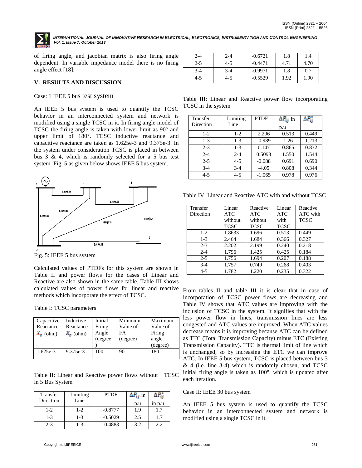

of firing angle, and jacobian matrix is also firing angle dependent. In variable impedance model there is no firing angle effect [18].

## **V. RESULTS AND DISCUSSION**

#### Case: 1 IEEE 5 bus test system

An IEEE 5 bus system is used to quantify the TCSC behavior in an interconnected system and network is modified using a single TCSC in it. In firing angle model of TCSC the firing angle is taken with lower limit as 90° and upper limit of 180°. TCSC inductive reactance and capacitive reactance are taken as 1.625e-3 and 9.375e-3. In the system under consideration TCSC is placed in between bus 3 & 4, which is randomly selected for a 5 bus test system. Fig. 5 as given below shows IEEE 5 bus system.



Fig. 5: IEEE 5 bus system

Calculated values of PTDFs for this system are shown in Table II and power flows for the cases of Linear and Reactive are also shown in the same table. Table III shows calculated values of power flows for linear and reactive From tables II and table III it is clear that in case of methods which incorporate the effect of TCSC.

Table I: TCSC parameters

| Capacitive<br>Reactance<br>$X_c$ (ohm) | Inductive<br>Reactance<br>$X_c$ (ohm) | Initial<br>Firing<br>Angle<br>(degree | Minimum<br>Value of<br>FA<br>(degree) | Maximum<br>Value of<br>Firing<br>angle<br>(degree) |
|----------------------------------------|---------------------------------------|---------------------------------------|---------------------------------------|----------------------------------------------------|
| $1.625e-3$                             | 9.375e-3                              | 100                                   | 90                                    | 180                                                |

Table II: Linear and Reactive power flows without TCSC in 5 Bus System

| Transfer<br>Direction | Limiting<br>Line | <b>PTDF</b> | $\Delta P_{ij}$ in<br>p.u | $1n$ $p.u$ |
|-----------------------|------------------|-------------|---------------------------|------------|
| $1-2$                 | $1-2$            | $-0.8777$   | 1.9                       | 1.7        |
| $1 - 3$               | $1 - 3$          | $-0.5029$   | 2.5                       | 1.7        |
| $2 - 3$               | $1 - 3$          | $-0.4883$   | 3.2                       | 2.2        |

| 2-4     | 2-4   | $-0.6721$ | 1.8  | 1.4  |
|---------|-------|-----------|------|------|
| $2 - 5$ | 4-5   | $-0.4471$ | 4.71 | 4.70 |
| $3-4$   | $3-4$ | $-0.9971$ | 1.8  | 0.7  |
| 4-5     | 4-5   | $-0.5529$ | 1.92 | 1.90 |

Table III: Linear and Reactive power flow incorporating TCSC in the system

| Transfer<br>Direction | Limiting<br>Line | <b>PTDF</b> | $\Delta P_{ij}$ in<br>p.u | $\Delta P_{ij}^*$ |
|-----------------------|------------------|-------------|---------------------------|-------------------|
| $1-2$                 | $1-2$            | 2.206       | 0.513                     | 0.449             |
| $1-3$                 | $1-3$            | $-0.989$    | 1.26                      | 1.213             |
| $2 - 3$               | $1-3$            | 0.147       | 0.865                     | 0.832             |
| $2 - 4$               | $2 - 4$          | 0.5093      | 1.550                     | 1.544             |
| $2 - 5$               | $4 - 5$          | $-0.088$    | 0.691                     | 0.690             |
| $3-4$                 | $3 - 4$          | $-4.05$     | 0.808                     | 0.344             |
| $4 - 5$               | $4 - 5$          | $-1.065$    | 0.978                     | 0.976             |

Table IV: Linear and Reactive ATC with and without TCSC

| Transfer  | Linear      | Reactive    | Linear      | Reactive    |
|-----------|-------------|-------------|-------------|-------------|
| Direction | <b>ATC</b>  | <b>ATC</b>  | <b>ATC</b>  | ATC with    |
|           | without     | without     | with        | <b>TCSC</b> |
|           | <b>TCSC</b> | <b>TCSC</b> | <b>TCSC</b> |             |
| $1 - 2$   | 1.8633      | 1.696       | 0.513       | 0.449       |
| $1-3$     | 2.464       | 1.684       | 0.366       | 0.327       |
| $2 - 3$   | 2.202       | 2.199       | 0.240       | 0.218       |
| $2 - 4$   | 1.796       | 1.425       | 0.425       | 0.184       |
| $2 - 5$   | 1.756       | 1.694       | 0.207       | 0.188       |
| $3-4$     | 1.757       | 0.749       | 0.268       | 0.403       |
| $4 - 5$   | 1.782       | 1.220       | 0.235       | 0.322       |

incorporation of TCSC power flows are decreasing and Table IV shows that ATC values are improving with the inclusion of TCSC in the system. It signifies that with the less power flow in lines, transmission lines are less congested and ATC values are improved. When ATC values decrease means it is improving because ATC can be defined as TTC (Total Transmission Capacity) minus ETC (Existing Transmission Capacity). TTC is thermal limit of line which is unchanged, so by increasing the ETC we can improve ATC. In IEEE 5 bus system, TCSC is placed between bus 3  $& 4$  (i.e. line 3-4) which is randomly chosen, and TCSC initial firing angle is taken as 100°, which is updated after each iteration.

## Case II: IEEE 30 bus system

An IEEE 5 bus system is used to quantify the TCSC behavior in an interconnected system and network is modified using a single TCSC in it.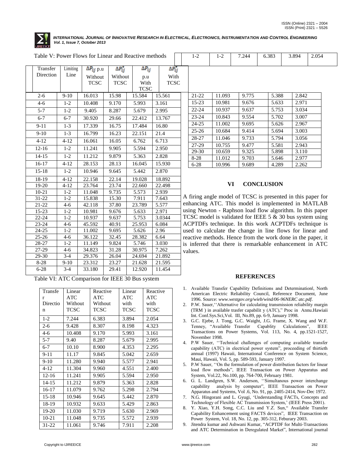

| Table V: Power Flows for Linear and Reactive methods |           |          |                     |                   |  |                 |                            |  |  |
|------------------------------------------------------|-----------|----------|---------------------|-------------------|--|-----------------|----------------------------|--|--|
|                                                      | Transfer  | Limiting | $\Delta P_{ij}$ p.u | $\Delta P_{ij}^*$ |  | $\Delta P_{ij}$ | $\overline{\Delta P_{ij}}$ |  |  |
|                                                      | Direction | Line     | Without             | Without           |  | p.u             | With                       |  |  |
|                                                      |           |          | <b>TCSC</b>         | <b>TCSC</b>       |  | With            | <b>TCSC</b>                |  |  |
|                                                      |           |          |                     |                   |  | <b>TCSC</b>     |                            |  |  |
|                                                      | $2 - 6$   | $9-10$   | 16.013              | 15.98             |  | 15.584          | 15.561                     |  |  |
|                                                      | $4 - 6$   | $1 - 2$  | 10.408              | 9.170             |  | 5.993           | 3.161                      |  |  |
|                                                      | $5 - 7$   | $1 - 2$  | 9.405               | 8.287             |  | 5.679           | 2.995                      |  |  |
|                                                      | $6 - 7$   | $6 - 7$  | 30.920              | 29.66             |  | 22.412          | 13.767                     |  |  |
|                                                      | $9 - 11$  | $1 - 3$  | 17.339              | 16.75             |  | 17.484          | 16.80                      |  |  |
|                                                      | $9-10$    | $1 - 3$  | 16.799              | 16.23             |  | 22.151          | 21.4                       |  |  |
|                                                      | $4 - 12$  | $4 - 12$ | 16.061              | 16.05             |  | 6.762           | 6.713                      |  |  |
|                                                      | $12 - 16$ | $1 - 2$  | 11.241              | 9.905             |  | 5.594           | 2.950                      |  |  |
|                                                      | $14 - 15$ | $1-2$    | 11.212              | 9.879             |  | 5.363           | 2.828                      |  |  |
|                                                      | 16-17     | $4 - 12$ | 28.153              | 28.13             |  | 16.045          | 15.930                     |  |  |
|                                                      | $15 - 18$ | $1 - 2$  | 10.946              | 9.645             |  | 5.442           | 2.870                      |  |  |
|                                                      | $18 - 19$ | $4 - 12$ | 22.158              | 22.14             |  | 19.028          | 18.892                     |  |  |
|                                                      | 19-20     | $4 - 12$ | 23.764              | 23.74             |  | 22.660          | 22.498                     |  |  |
|                                                      | $10 - 21$ | $1 - 2$  | 11.048              | 9.735             |  | 5.573           | 2.939                      |  |  |
|                                                      | $31 - 22$ | $1 - 2$  | 15.838              | 15.30             |  | 7.911           | 7.643                      |  |  |
|                                                      | 21-22     | $4 - 6$  | 42.118              | 37.80             |  | 23.789          | 5.577                      |  |  |
|                                                      | 15-23     | $1 - 2$  | 10.981              | 9.676             |  | 5.633           | 2.971                      |  |  |
|                                                      | 22-24     | $1 - 2$  | 10.937              | 9.637             |  | 5.753           | 3.0344                     |  |  |
|                                                      | 23-24     | $4 - 6$  | 45.592              | 40.91             |  | 25.953          | 6.084                      |  |  |
|                                                      | 24-25     | $1 - 2$  | 11.002              | 9.695             |  | 5.626           | 2.96                       |  |  |
|                                                      | $25 - 26$ | $4 - 6$  | 36.122              | 32.45             |  | 28.382          | 6.64                       |  |  |
|                                                      | 28-27     | $1 - 2$  | 11.149              | 9.824             |  | 5.746           | 3.030                      |  |  |
|                                                      | 27-29     | $4 - 6$  | 34.823              | 31.28             |  | 30.975          | 7.262                      |  |  |
|                                                      | 29-30     | $3-4$    | 29.376              | 26.04             |  | 24.694          | 21.892                     |  |  |
|                                                      | $8 - 28$  | $9-10$   | 23.312              | 23.27             |  | 21.628          | 21.595                     |  |  |
|                                                      | $6 - 28$  | $3-4$    | 33.180              | 29.41             |  | 12.920          | 11.454                     |  |  |

Table VI: ATC Comparison for IEEE 30 Bus system

| Transfe       | Linear<br>ATC | Reactive<br>ATC | Linear<br>ATC | Reactive<br>ATC |
|---------------|---------------|-----------------|---------------|-----------------|
| r<br>Directio | Without       | Without         | with          | with            |
| n             | TCSC          | TCSC            | TCSC          | TCSC            |
| $1-2$         | 7.244         | 6.383           | 3.894         | 2.054           |
| $2 - 6$       | 9.428         | 8.307           | 8.198         | 4.323           |
| $4-6$         | 10.408        | 9.170           | 5.993         | 3.161           |
| $5 - 7$       | 9.40          | 8.287           | 5.679         | 2.995           |
| $6 - 7$       | 10.10         | 8.900           | 4.353         | 2.295           |
| $9 - 11$      | 11.17         | 9.845           | 5.042         | 2.659           |
| $9-10$        | 11.280        | 9.940           | 5.577         | 2.941           |
| $4 - 12$      | 11.304        | 9.960           | 4.551         | 2.400           |
| $12 - 16$     | 11.241        | 9.905           | 5.594         | 2.950           |
| $14 - 15$     | 11.212        | 9.879           | 5.363         | 2.828           |
| $16-17$       | 11.079        | 9.762           | 5.298         | 2.794           |
| $15-18$       | 10.946        | 9.645           | 5.442         | 2.870           |
| 18-19         | 10.932        | 9.633           | 5.429         | 2.863           |
| 19-20         | 11.030        | 9.719           | 5.630         | 2.969           |
| $10 - 21$     | 11.048        | 9.735           | 5.572         | 2.939           |
| 31-22         | 11.061        | 9.746           | 7.911         | 2.208           |

| $21 - 22$ | 11.093 | 9.775 | 5.388 | 2.842 |
|-----------|--------|-------|-------|-------|
| $15 - 23$ | 10.981 | 9.676 | 5.633 | 2.971 |
| $22 - 24$ | 10.937 | 9.637 | 5.753 | 3.034 |
| $23 - 24$ | 10.843 | 9.554 | 5.702 | 3.007 |
| 24-25     | 11.002 | 9.695 | 5.626 | 2.967 |
| $25 - 26$ | 10.684 | 9.414 | 5.694 | 3.003 |
| 28-27     | 11.046 | 9.733 | 5.794 | 3.056 |
| 27-29     | 10.755 | 9.477 | 5.581 | 2.943 |
| 29-30     | 10.659 | 9.325 | 5.898 | 3.110 |
| $8-28$    | 11.012 | 9.703 | 5.646 | 2.977 |
| $6 - 28$  | 10.996 | 9.689 | 4.289 | 2.262 |

1-2 | 1-2 | 7.244 | 6.383 | 3.894 | 2.054

## **VI CONCLUSION**

A firing angle model of TCSC is presented in this paper for enhancing ATC. This model is implemented in MATLAB using Newton - Raphson load flow algorithm. In this paper TCSC model is validated for IEEE 5  $&$  30 bus system using ACPTDFs technique. In this work ACPTDFs technique is used to calculate the change in line flows for linear and reactive methods. Hence from the work done in the paper, it is inferred that there is remarkable enhancement in ATC values.

### **REFERENCES**

- 1. Available Transfer Capability Definitions and Determinationl, North American Electric Reliability Council, Reference Document, June 1996. Source: *[www.westgov.org/wieb/wind/06-96NERC atc.pdf](http://www.westgov.org/wieb/wind/06-96NERC%20atc.pdf)*.
- 2. P.W. Sauer,ʻʻAlternative for calculating transmission reliability margin (TRM ) in available trasfer capabilit y (ATC)," Proc in Annu.Hawiaii Int. Conf.Sys.Sci,Vol. III, No.89, pp. 6-9, January 1998.
- 3. G.C. Ejebe, J. Tong, G.C. Waight, J.G. Frame, X. Wang and W.F. Tenney, "Available Transfer Capablity Calculations", IEEE Transactions on Power Systems, Vol. 113, No. 4, pp.1521-1527, November 1998.
- 4. P.W Sauer, ʻʻTechnical challenges of computing available transfer capability (ATC) in electrical power system", proceeding of thirtieth annual (1997) Hawaii, International Conference on System Science, Maui, Hawaii, Vol. 5, pp. 589-593, January 1997.
- 5. P.W Sauer, ʻʻOn the formulation of power distribution factors for linear load flow methods", IEEE Transaction on Power Apparatus and System, Vol.22, No.100, pp. 764-700, February 1981.
- 6. G. L. Landgren, S.W. Anderson, ʻʻSimultanous power interchange capability analysis by computer", IEEE Transaction on Power Apparatus and Systems, Vol .6, No. 91, pp. 2405-2414, Nov-Dec 1972.
- 7. N.G. Hingorani and L. Gyugi, "Understanding FACTs, Concepts and Technology of Flexible AC Transmission System,' (IEEE Press 2001).
- 8. Y. Xiao, Y.H. Song, C.C. Liu and Y.Z. Sun," Available Transfer Capability Enhancement using FACTS devices", IEEE Transaction on Power System, Vol. 18, No. 12, pp. 305-312, Feburary 2003.
- 9. Jitendra kumar and Ashwani Kumar, "ACPTDF for Multi-Transactions and ATC Determination in Deregulated Market", International journal